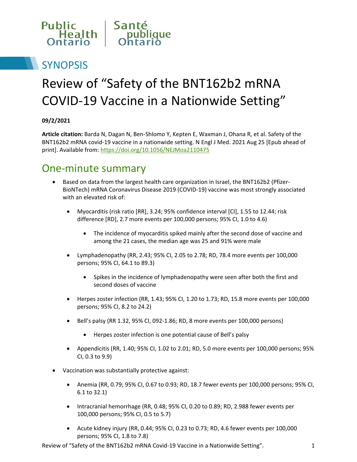

# **SYNOPSIS**

# Review of "Safety of the BNT162b2 mRNA COVID-19 Vaccine in a Nationwide Setting"

#### **09/2/2021**

**Article citation:** Barda N, Dagan N, Ben-Shlomo Y, Kepten E, Waxman J, Ohana R, et al. Safety of the BNT162b2 mRNA covid-19 vaccine in a nationwide setting. N Engl J Med. 2021 Aug 25 [Epub ahead of print]. Available from[: https://doi.org/10.1056/NEJMoa2110475](https://doi.org/10.1056/NEJMoa2110475)

#### One-minute summary

- Based on data from the largest health care organization in Israel, the BNT162b2 (Pfizer-BioNTech) mRNA Coronavirus Disease 2019 (COVID-19) vaccine was most strongly associated with an elevated risk of:
	- Myocarditis (risk ratio [RR], 3.24; 95% confidence interval [CI], 1.55 to 12.44; risk difference [RD], 2.7 more events per 100,000 persons; 95% CI, 1.0 to 4.6)
		- The incidence of myocarditis spiked mainly after the second dose of vaccine and among the 21 cases, the median age was 25 and 91% were male
	- Lymphadenopathy (RR, 2.43; 95% CI, 2.05 to 2.78; RD, 78.4 more events per 100,000 persons; 95% CI, 64.1 to 89.3)
		- Spikes in the incidence of lymphadenopathy were seen after both the first and second doses of vaccine
	- Herpes zoster infection (RR, 1.43; 95% CI, 1.20 to 1.73; RD, 15.8 more events per 100,000 persons; 95% CI, 8.2 to 24.2)
	- Bell's palsy (RR 1.32, 95% CI, 092-1.86; RD, 8 more events per 100,000 persons)
		- Herpes zoster infection is one potential cause of Bell's palsy
	- Appendicitis (RR, 1.40; 95% CI, 1.02 to 2.01; RD, 5.0 more events per 100,000 persons; 95% CI, 0.3 to 9.9)
- Vaccination was substantially protective against:
	- Anemia (RR, 0.79; 95% CI, 0.67 to 0.93; RD, 18.7 fewer events per 100,000 persons; 95% CI, 6.1 to 32.1)
	- Intracranial hemorrhage (RR, 0.48; 95% CI, 0.20 to 0.89; RD, 2.988 fewer events per 100,000 persons; 95% CI, 0.5 to 5.7)
	- Acute kidney injury (RR, 0.44; 95% CI, 0.23 to 0.73; RD, 4.6 fewer events per 100,000 persons; 95% CI, 1.8 to 7.8)

Review of "Safety of the BNT162b2 mRNA Covid-19 Vaccine in a Nationwide Setting". 1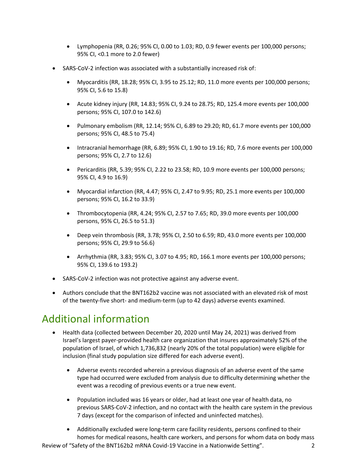- Lymphopenia (RR, 0.26; 95% CI, 0.00 to 1.03; RD, 0.9 fewer events per 100,000 persons; 95% CI, <0.1 more to 2.0 fewer)
- SARS-CoV-2 infection was associated with a substantially increased risk of:
	- Myocarditis (RR, 18.28; 95% CI, 3.95 to 25.12; RD, 11.0 more events per 100,000 persons; 95% CI, 5.6 to 15.8)
	- Acute kidney injury (RR, 14.83; 95% CI, 9.24 to 28.75; RD, 125.4 more events per 100,000 persons; 95% CI, 107.0 to 142.6)
	- Pulmonary embolism (RR, 12.14; 95% CI, 6.89 to 29.20; RD, 61.7 more events per 100,000 persons; 95% CI, 48.5 to 75.4)
	- Intracranial hemorrhage (RR, 6.89; 95% CI, 1.90 to 19.16; RD, 7.6 more events per 100,000 persons; 95% CI, 2.7 to 12.6)
	- Pericarditis (RR, 5.39; 95% CI, 2.22 to 23.58; RD, 10.9 more events per 100,000 persons; 95% CI, 4.9 to 16.9)
	- Myocardial infarction (RR, 4.47; 95% CI, 2.47 to 9.95; RD, 25.1 more events per 100,000 persons; 95% CI, 16.2 to 33.9)
	- Thrombocytopenia (RR, 4.24; 95% CI, 2.57 to 7.65; RD, 39.0 more events per 100,000 persons, 95% CI, 26.5 to 51.3)
	- Deep vein thrombosis (RR, 3.78; 95% CI, 2.50 to 6.59; RD, 43.0 more events per 100,000 persons; 95% CI, 29.9 to 56.6)
	- Arrhythmia (RR, 3.83; 95% CI, 3.07 to 4.95; RD, 166.1 more events per 100,000 persons; 95% CI, 139.6 to 193.2)
- SARS-CoV-2 infection was not protective against any adverse event.
- Authors conclude that the BNT162b2 vaccine was not associated with an elevated risk of most of the twenty-five short- and medium-term (up to 42 days) adverse events examined.

### Additional information

- Health data (collected between December 20, 2020 until May 24, 2021) was derived from Israel's largest payer-provided health care organization that insures approximately 52% of the population of Israel, of which 1,736,832 (nearly 20% of the total population) were eligible for inclusion (final study population size differed for each adverse event).
	- Adverse events recorded wherein a previous diagnosis of an adverse event of the same type had occurred were excluded from analysis due to difficulty determining whether the event was a recoding of previous events or a true new event.
	- Population included was 16 years or older, had at least one year of health data, no previous SARS-CoV-2 infection, and no contact with the health care system in the previous 7 days (except for the comparison of infected and uninfected matches).
	- Additionally excluded were long-term care facility residents, persons confined to their homes for medical reasons, health care workers, and persons for whom data on body mass

Review of "Safety of the BNT162b2 mRNA Covid-19 Vaccine in a Nationwide Setting". 2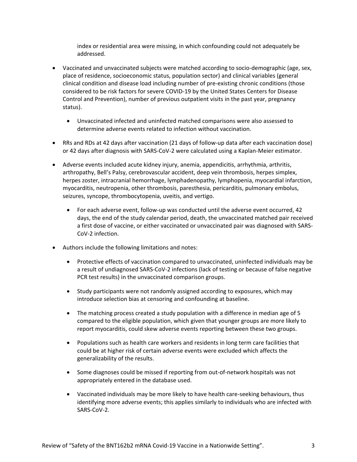index or residential area were missing, in which confounding could not adequately be addressed.

- Vaccinated and unvaccinated subjects were matched according to socio-demographic (age, sex, place of residence, socioeconomic status, population sector) and clinical variables (general clinical condition and disease load including number of pre-existing chronic conditions (those considered to be risk factors for severe COVID-19 by the United States Centers for Disease Control and Prevention), number of previous outpatient visits in the past year, pregnancy status).
	- Unvaccinated infected and uninfected matched comparisons were also assessed to determine adverse events related to infection without vaccination.
- RRs and RDs at 42 days after vaccination (21 days of follow-up data after each vaccination dose) or 42 days after diagnosis with SARS-CoV-2 were calculated using a Kaplan-Meier estimator.
- Adverse events included acute kidney injury, anemia, appendicitis, arrhythmia, arthritis, arthropathy, Bell's Palsy, cerebrovascular accident, deep vein thrombosis, herpes simplex, herpes zoster, intracranial hemorrhage, lymphadenopathy, lymphopenia, myocardial infarction, myocarditis, neutropenia, other thrombosis, paresthesia, pericarditis, pulmonary embolus, seizures, syncope, thrombocytopenia, uveitis, and vertigo.
	- For each adverse event, follow-up was conducted until the adverse event occurred, 42 days, the end of the study calendar period, death, the unvaccinated matched pair received a first dose of vaccine, or either vaccinated or unvaccinated pair was diagnosed with SARS-CoV-2 infection.
- Authors include the following limitations and notes:
	- Protective effects of vaccination compared to unvaccinated, uninfected individuals may be a result of undiagnosed SARS-CoV-2 infections (lack of testing or because of false negative PCR test results) in the unvaccinated comparison groups.
	- Study participants were not randomly assigned according to exposures, which may introduce selection bias at censoring and confounding at baseline.
	- The matching process created a study population with a difference in median age of 5 compared to the eligible population, which given that younger groups are more likely to report myocarditis, could skew adverse events reporting between these two groups.
	- Populations such as health care workers and residents in long term care facilities that could be at higher risk of certain adverse events were excluded which affects the generalizability of the results.
	- Some diagnoses could be missed if reporting from out-of-network hospitals was not appropriately entered in the database used.
	- Vaccinated individuals may be more likely to have health care-seeking behaviours, thus identifying more adverse events; this applies similarly to individuals who are infected with SARS-CoV-2.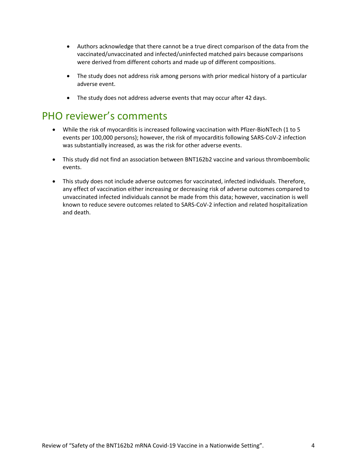- Authors acknowledge that there cannot be a true direct comparison of the data from the vaccinated/unvaccinated and infected/uninfected matched pairs because comparisons were derived from different cohorts and made up of different compositions.
- The study does not address risk among persons with prior medical history of a particular adverse event.
- The study does not address adverse events that may occur after 42 days.

#### PHO reviewer's comments

- While the risk of myocarditis is increased following vaccination with Pfizer-BioNTech (1 to 5 events per 100,000 persons); however, the risk of myocarditis following SARS-CoV-2 infection was substantially increased, as was the risk for other adverse events.
- This study did not find an association between BNT162b2 vaccine and various thromboembolic events.
- This study does not include adverse outcomes for vaccinated, infected individuals. Therefore, any effect of vaccination either increasing or decreasing risk of adverse outcomes compared to unvaccinated infected individuals cannot be made from this data; however, vaccination is well known to reduce severe outcomes related to SARS-CoV-2 infection and related hospitalization and death.